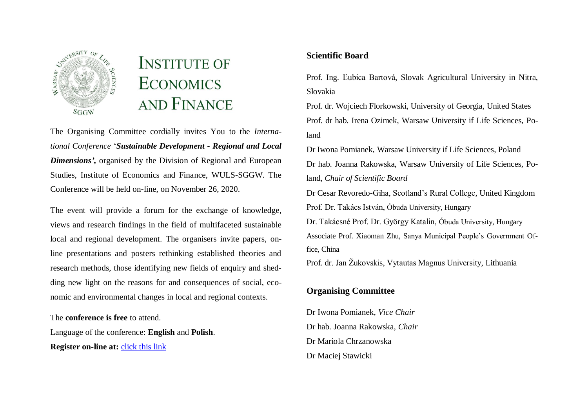

# **INSTITUTE OF ECONOMICS AND FINANCE**

The Organising Committee cordially invites You to the *International Conference* '*Sustainable Development - Regional and Local Dimensions',* organised by the Division of Regional and European Studies, Institute of Economics and Finance, WULS-SGGW. The Conference will be held on-line, on November 26, 2020.

The event will provide a forum for the exchange of knowledge, views and research findings in the field of multifaceted sustainable local and regional development. The organisers invite papers, online presentations and posters rethinking established theories and research methods, those identifying new fields of enquiry and shedding new light on the reasons for and consequences of social, economic and environmental changes in local and regional contexts.

The **conference is free** to attend.

Language of the conference: **English** and **Polish**. **Register on-line at:** [click this link](https://forms.gle/s1SCiw16WzMP1wRF8)

## **Scientific Board**

Prof. Ing. Ľubica Bartová, Slovak Agricultural University in Nitra, Slovakia

Prof. dr. Wojciech Florkowski, University of Georgia, United States Prof. dr hab. Irena Ozimek, Warsaw University if Life Sciences, Poland

Dr Iwona Pomianek, Warsaw University if Life Sciences, Poland Dr hab. Joanna Rakowska, Warsaw University of Life Sciences, Poland, *Chair of Scientific Board*

Dr Cesar Revoredo-Giha, Scotland's Rural College, United Kingdom Prof. Dr. Takács István, Óbuda University, Hungary

Dr. Takácsné Prof. Dr. György Katalin, Óbuda University, Hungary Associate Prof. Xiaoman Zhu, Sanya Municipal People's Government Office, China

Prof. dr. Jan Žukovskis, Vytautas Magnus University, Lithuania

## **Organising Committee**

Dr Iwona Pomianek, *Vice Chair* Dr hab. Joanna Rakowska, *Chair*  Dr Mariola Chrzanowska Dr Maciej Stawicki